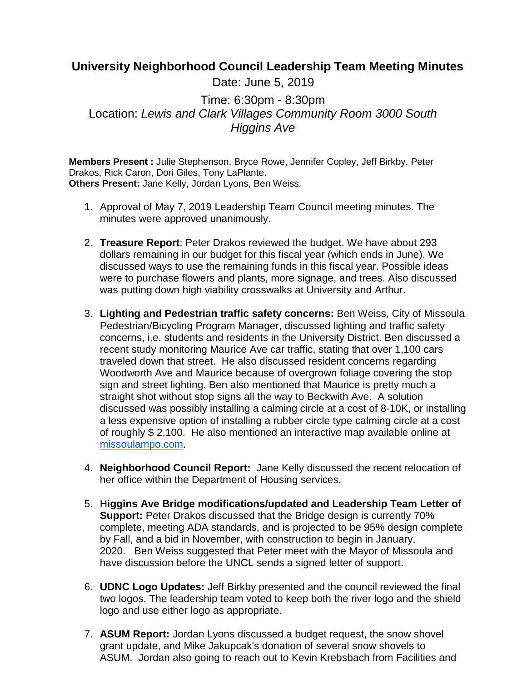## **University Neighborhood Council Leadership Team Meeting Minutes**

Date: June 5, 2019

Time: 6:30pm - 8:30pm Location: *Lewis and Clark Villages Community Room 3000 South Higgins Ave*

**Members Present :** Julie Stephenson, Bryce Rowe, Jennifer Copley, Jeff Birkby, Peter Drakos, Rick Caron, Dori Giles, Tony LaPlante. **Others Present:** Jane Kelly, Jordan Lyons, Ben Weiss.

- 1. Approval of May 7, 2019 Leadership Team Council meeting minutes. The minutes were approved unanimously.
- 2. **Treasure Report**: Peter Drakos reviewed the budget. We have about 293 dollars remaining in our budget for this fiscal year (which ends in June). We discussed ways to use the remaining funds in this fiscal year. Possible ideas were to purchase flowers and plants, more signage, and trees. Also discussed was putting down high viability crosswalks at University and Arthur.
- 3. **Lighting and Pedestrian traffic safety concerns:** Ben Weiss, City of Missoula Pedestrian/Bicycling Program Manager, discussed lighting and traffic safety concerns, i.e. students and residents in the University District. Ben discussed a recent study monitoring Maurice Ave car traffic, stating that over 1,100 cars traveled down that street. He also discussed resident concerns regarding Woodworth Ave and Maurice because of overgrown foliage covering the stop sign and street lighting. Ben also mentioned that Maurice is pretty much a straight shot without stop signs all the way to Beckwith Ave. A solution discussed was possibly installing a calming circle at a cost of 8-10K, or installing a less expensive option of installing a rubber circle type calming circle at a cost of roughly \$ 2,100. He also mentioned an interactive map available online at [missoulampo.com.](http://missoulampo.com/)
- 4. **Neighborhood Council Report:** Jane Kelly discussed the recent relocation of her office within the Department of Housing services.
- 5. H**iggins Ave Bridge modifications/updated and Leadership Team Letter of Support:** Peter Drakos discussed that the Bridge design is currently 70% complete, meeting ADA standards, and is projected to be 95% design complete by Fall, and a bid in November, with construction to begin in January, 2020. Ben Weiss suggested that Peter meet with the Mayor of Missoula and have discussion before the UNCL sends a signed letter of support.
- 6. **UDNC Logo Updates:** Jeff Birkby presented and the council reviewed the final two logos. The leadership team voted to keep both the river logo and the shield logo and use either logo as appropriate.
- 7. **ASUM Report:** Jordan Lyons discussed a budget request, the snow shovel grant update, and Mike Jakupcak's donation of several snow shovels to ASUM. Jordan also going to reach out to Kevin Krebsbach from Facilities and